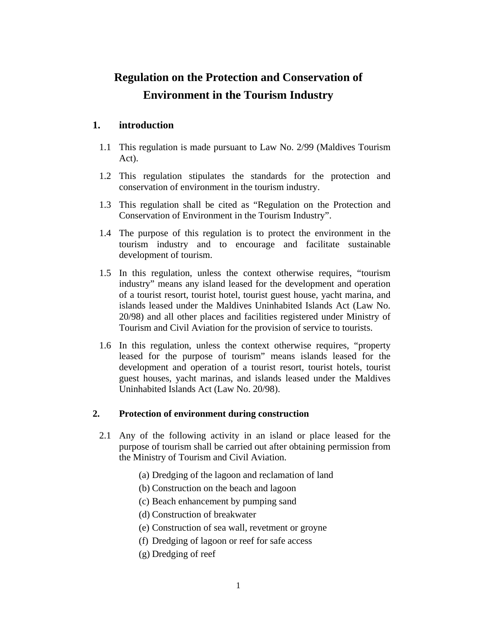# **Regulation on the Protection and Conservation of Environment in the Tourism Industry**

## **1. introduction**

- 1.1 This regulation is made pursuant to Law No. 2/99 (Maldives Tourism Act).
- 1.2 This regulation stipulates the standards for the protection and conservation of environment in the tourism industry.
- 1.3 This regulation shall be cited as "Regulation on the Protection and Conservation of Environment in the Tourism Industry".
- 1.4 The purpose of this regulation is to protect the environment in the tourism industry and to encourage and facilitate sustainable development of tourism.
- 1.5 In this regulation, unless the context otherwise requires, "tourism industry" means any island leased for the development and operation of a tourist resort, tourist hotel, tourist guest house, yacht marina, and islands leased under the Maldives Uninhabited Islands Act (Law No. 20/98) and all other places and facilities registered under Ministry of Tourism and Civil Aviation for the provision of service to tourists.
- 1.6 In this regulation, unless the context otherwise requires, "property leased for the purpose of tourism" means islands leased for the development and operation of a tourist resort, tourist hotels, tourist guest houses, yacht marinas, and islands leased under the Maldives Uninhabited Islands Act (Law No. 20/98).

### **2. Protection of environment during construction**

- 2.1 Any of the following activity in an island or place leased for the purpose of tourism shall be carried out after obtaining permission from the Ministry of Tourism and Civil Aviation.
	- (a) Dredging of the lagoon and reclamation of land
	- (b) Construction on the beach and lagoon
	- (c) Beach enhancement by pumping sand
	- (d) Construction of breakwater
	- (e) Construction of sea wall, revetment or groyne
	- (f) Dredging of lagoon or reef for safe access
	- (g) Dredging of reef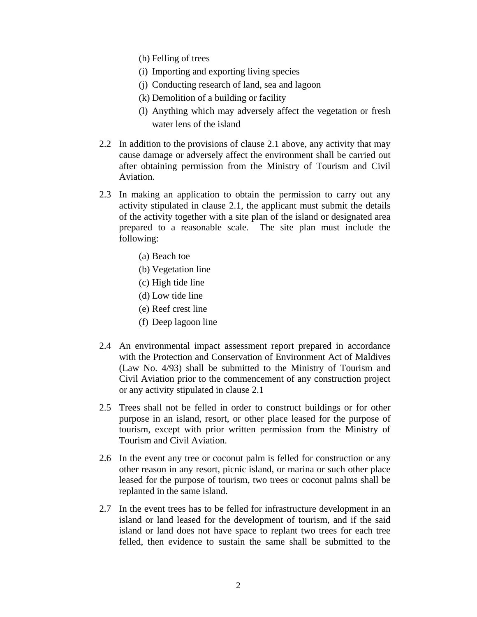- (h) Felling of trees
- (i) Importing and exporting living species
- (j) Conducting research of land, sea and lagoon
- (k) Demolition of a building or facility
- (l) Anything which may adversely affect the vegetation or fresh water lens of the island
- 2.2 In addition to the provisions of clause 2.1 above, any activity that may cause damage or adversely affect the environment shall be carried out after obtaining permission from the Ministry of Tourism and Civil Aviation.
- 2.3 In making an application to obtain the permission to carry out any activity stipulated in clause 2.1, the applicant must submit the details of the activity together with a site plan of the island or designated area prepared to a reasonable scale. The site plan must include the following:
	- (a) Beach toe
	- (b) Vegetation line
	- (c) High tide line
	- (d) Low tide line
	- (e) Reef crest line
	- (f) Deep lagoon line
- 2.4 An environmental impact assessment report prepared in accordance with the Protection and Conservation of Environment Act of Maldives (Law No. 4/93) shall be submitted to the Ministry of Tourism and Civil Aviation prior to the commencement of any construction project or any activity stipulated in clause 2.1
- 2.5 Trees shall not be felled in order to construct buildings or for other purpose in an island, resort, or other place leased for the purpose of tourism, except with prior written permission from the Ministry of Tourism and Civil Aviation.
- 2.6 In the event any tree or coconut palm is felled for construction or any other reason in any resort, picnic island, or marina or such other place leased for the purpose of tourism, two trees or coconut palms shall be replanted in the same island.
- 2.7 In the event trees has to be felled for infrastructure development in an island or land leased for the development of tourism, and if the said island or land does not have space to replant two trees for each tree felled, then evidence to sustain the same shall be submitted to the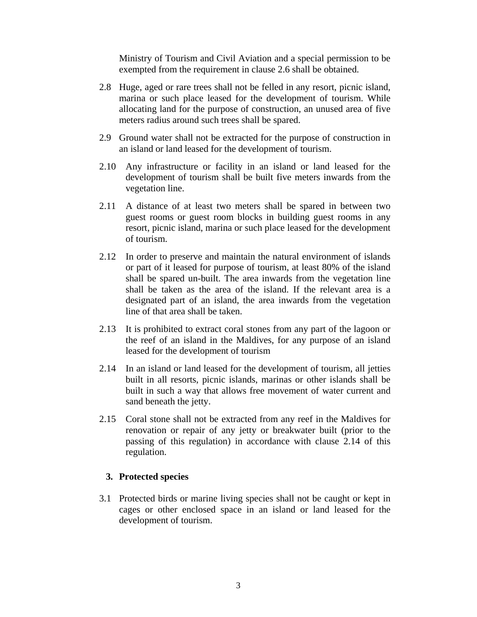Ministry of Tourism and Civil Aviation and a special permission to be exempted from the requirement in clause 2.6 shall be obtained.

- 2.8 Huge, aged or rare trees shall not be felled in any resort, picnic island, marina or such place leased for the development of tourism. While allocating land for the purpose of construction, an unused area of five meters radius around such trees shall be spared.
- 2.9 Ground water shall not be extracted for the purpose of construction in an island or land leased for the development of tourism.
- 2.10 Any infrastructure or facility in an island or land leased for the development of tourism shall be built five meters inwards from the vegetation line.
- 2.11 A distance of at least two meters shall be spared in between two guest rooms or guest room blocks in building guest rooms in any resort, picnic island, marina or such place leased for the development of tourism.
- 2.12 In order to preserve and maintain the natural environment of islands or part of it leased for purpose of tourism, at least 80% of the island shall be spared un-built. The area inwards from the vegetation line shall be taken as the area of the island. If the relevant area is a designated part of an island, the area inwards from the vegetation line of that area shall be taken.
- 2.13 It is prohibited to extract coral stones from any part of the lagoon or the reef of an island in the Maldives, for any purpose of an island leased for the development of tourism
- 2.14 In an island or land leased for the development of tourism, all jetties built in all resorts, picnic islands, marinas or other islands shall be built in such a way that allows free movement of water current and sand beneath the jetty.
- 2.15 Coral stone shall not be extracted from any reef in the Maldives for renovation or repair of any jetty or breakwater built (prior to the passing of this regulation) in accordance with clause 2.14 of this regulation.

#### **3. Protected species**

3.1 Protected birds or marine living species shall not be caught or kept in cages or other enclosed space in an island or land leased for the development of tourism.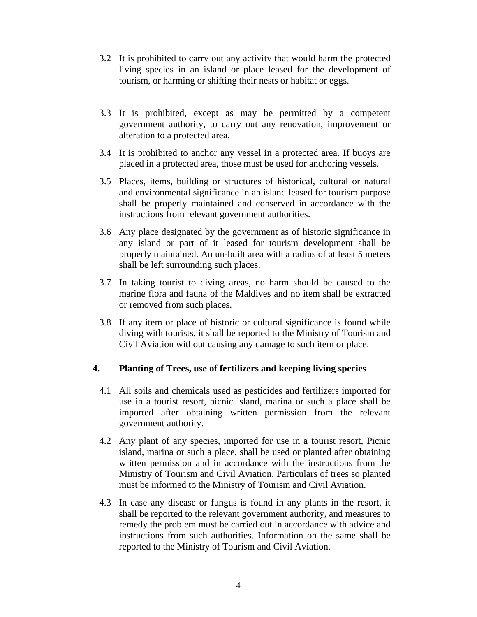- 3.2 It is prohibited to carry out any activity that would harm the protected living species in an island or place leased for the development of tourism, or harming or shifting their nests or habitat or eggs.
- 3.3 It is prohibited, except as may be permitted by a competent government authority, to carry out any renovation, improvement or alteration to a protected area.
- 3.4 It is prohibited to anchor any vessel in a protected area. If buoys are placed in a protected area, those must be used for anchoring vessels.
- 3.5 Places, items, building or structures of historical, cultural or natural and environmental significance in an island leased for tourism purpose shall be properly maintained and conserved in accordance with the instructions from relevant government authorities.
- 3.6 Any place designated by the government as of historic significance in any island or part of it leased for tourism development shall be properly maintained. An un-built area with a radius of at least 5 meters shall be left surrounding such places.
- 3.7 In taking tourist to diving areas, no harm should be caused to the marine flora and fauna of the Maldives and no item shall be extracted or removed from such places.
- 3.8 If any item or place of historic or cultural significance is found while diving with tourists, it shall be reported to the Ministry of Tourism and Civil Aviation without causing any damage to such item or place.

### **4. Planting of Trees, use of fertilizers and keeping living species**

- 4.1 All soils and chemicals used as pesticides and fertilizers imported for use in a tourist resort, picnic island, marina or such a place shall be imported after obtaining written permission from the relevant government authority.
- 4.2 Any plant of any species, imported for use in a tourist resort, Picnic island, marina or such a place, shall be used or planted after obtaining written permission and in accordance with the instructions from the Ministry of Tourism and Civil Aviation. Particulars of trees so planted must be informed to the Ministry of Tourism and Civil Aviation.
- 4.3 In case any disease or fungus is found in any plants in the resort, it shall be reported to the relevant government authority, and measures to remedy the problem must be carried out in accordance with advice and instructions from such authorities. Information on the same shall be reported to the Ministry of Tourism and Civil Aviation.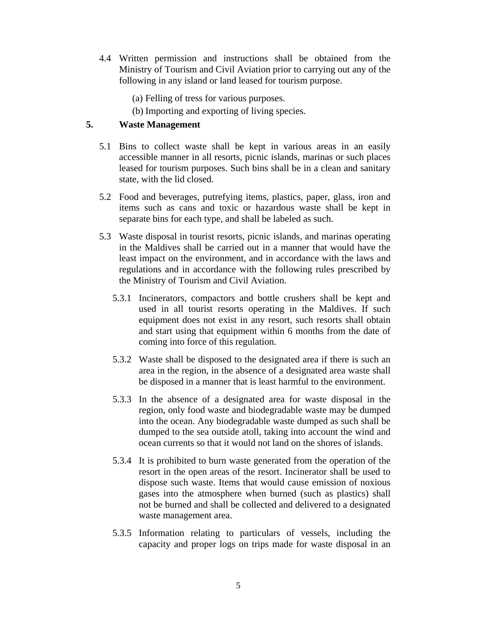- 4.4 Written permission and instructions shall be obtained from the Ministry of Tourism and Civil Aviation prior to carrying out any of the following in any island or land leased for tourism purpose.
	- (a) Felling of tress for various purposes.
	- (b) Importing and exporting of living species.

## **5. Waste Management**

- 5.1 Bins to collect waste shall be kept in various areas in an easily accessible manner in all resorts, picnic islands, marinas or such places leased for tourism purposes. Such bins shall be in a clean and sanitary state, with the lid closed.
- 5.2 Food and beverages, putrefying items, plastics, paper, glass, iron and items such as cans and toxic or hazardous waste shall be kept in separate bins for each type, and shall be labeled as such.
- 5.3 Waste disposal in tourist resorts, picnic islands, and marinas operating in the Maldives shall be carried out in a manner that would have the least impact on the environment, and in accordance with the laws and regulations and in accordance with the following rules prescribed by the Ministry of Tourism and Civil Aviation.
	- 5.3.1 Incinerators, compactors and bottle crushers shall be kept and used in all tourist resorts operating in the Maldives. If such equipment does not exist in any resort, such resorts shall obtain and start using that equipment within 6 months from the date of coming into force of this regulation.
	- 5.3.2 Waste shall be disposed to the designated area if there is such an area in the region, in the absence of a designated area waste shall be disposed in a manner that is least harmful to the environment.
	- 5.3.3 In the absence of a designated area for waste disposal in the region, only food waste and biodegradable waste may be dumped into the ocean. Any biodegradable waste dumped as such shall be dumped to the sea outside atoll, taking into account the wind and ocean currents so that it would not land on the shores of islands.
	- 5.3.4 It is prohibited to burn waste generated from the operation of the resort in the open areas of the resort. Incinerator shall be used to dispose such waste. Items that would cause emission of noxious gases into the atmosphere when burned (such as plastics) shall not be burned and shall be collected and delivered to a designated waste management area.
	- 5.3.5 Information relating to particulars of vessels, including the capacity and proper logs on trips made for waste disposal in an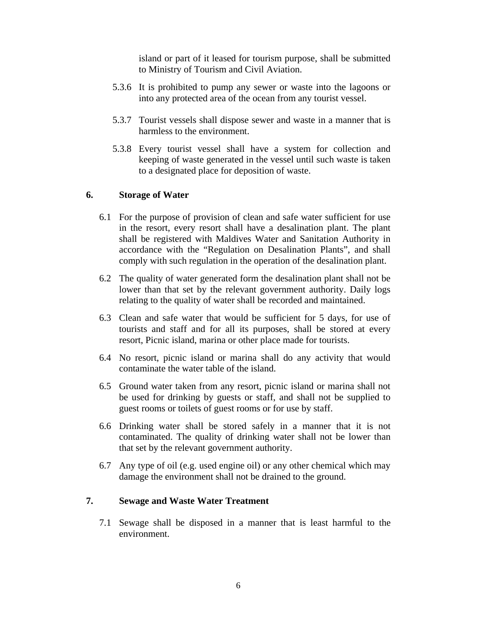island or part of it leased for tourism purpose, shall be submitted to Ministry of Tourism and Civil Aviation.

- 5.3.6 It is prohibited to pump any sewer or waste into the lagoons or into any protected area of the ocean from any tourist vessel.
- 5.3.7 Tourist vessels shall dispose sewer and waste in a manner that is harmless to the environment.
- 5.3.8 Every tourist vessel shall have a system for collection and keeping of waste generated in the vessel until such waste is taken to a designated place for deposition of waste.

#### **6. Storage of Water**

- 6.1 For the purpose of provision of clean and safe water sufficient for use in the resort, every resort shall have a desalination plant. The plant shall be registered with Maldives Water and Sanitation Authority in accordance with the "Regulation on Desalination Plants", and shall comply with such regulation in the operation of the desalination plant.
- 6.2 The quality of water generated form the desalination plant shall not be lower than that set by the relevant government authority. Daily logs relating to the quality of water shall be recorded and maintained.
- 6.3 Clean and safe water that would be sufficient for 5 days, for use of tourists and staff and for all its purposes, shall be stored at every resort, Picnic island, marina or other place made for tourists.
- 6.4 No resort, picnic island or marina shall do any activity that would contaminate the water table of the island.
- 6.5 Ground water taken from any resort, picnic island or marina shall not be used for drinking by guests or staff, and shall not be supplied to guest rooms or toilets of guest rooms or for use by staff.
- 6.6 Drinking water shall be stored safely in a manner that it is not contaminated. The quality of drinking water shall not be lower than that set by the relevant government authority.
- 6.7 Any type of oil (e.g. used engine oil) or any other chemical which may damage the environment shall not be drained to the ground.

### **7. Sewage and Waste Water Treatment**

7.1 Sewage shall be disposed in a manner that is least harmful to the environment.